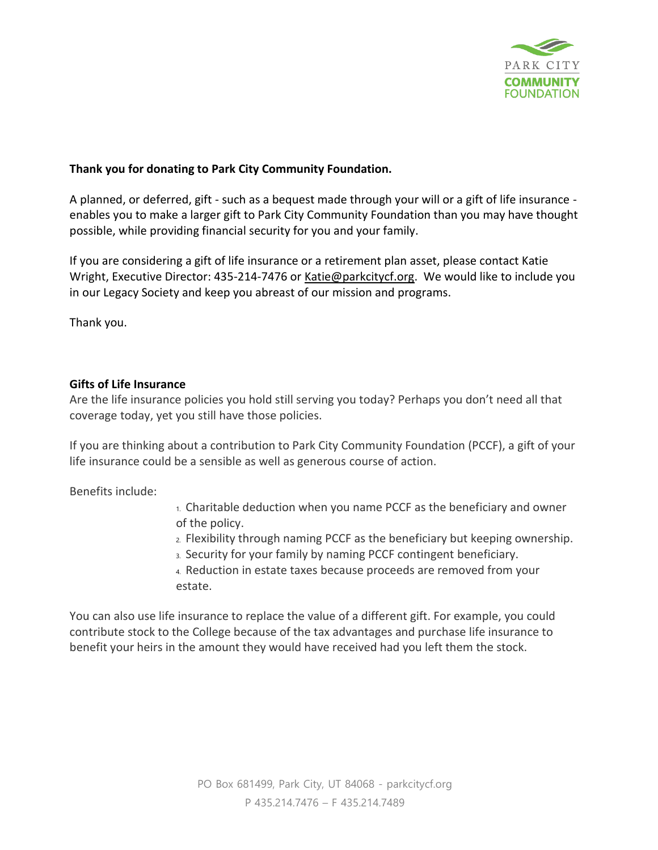

## **Thank you for donating to Park City Community Foundation.**

A planned, or deferred, gift - such as a bequest made through your will or a gift of life insurance enables you to make a larger gift to Park City Community Foundation than you may have thought possible, while providing financial security for you and your family.  

If you are considering a gift of life insurance or a retirement plan asset, please contact Katie Wright, Executive Director: 435-214-7476 or Katie@parkcitycf.org. We would like to include you in our Legacy Society and keep you abreast of our mission and programs.

Thank you.

## **Gifts of Life Insurance**

Are the life insurance policies you hold still serving you today? Perhaps you don't need all that coverage today, yet you still have those policies.

If you are thinking about a contribution to Park City Community Foundation (PCCF), a gift of your life insurance could be a sensible as well as generous course of action.

Benefits include:

1. Charitable deduction when you name PCCF as the beneficiary and owner of the policy.

- 2. Flexibility through naming PCCF as the beneficiary but keeping ownership.
- 3. Security for your family by naming PCCF contingent beneficiary.
- 4. Reduction in estate taxes because proceeds are removed from your estate.

You can also use life insurance to replace the value of a different gift. For example, you could contribute stock to the College because of the tax advantages and purchase life insurance to benefit your heirs in the amount they would have received had you left them the stock.